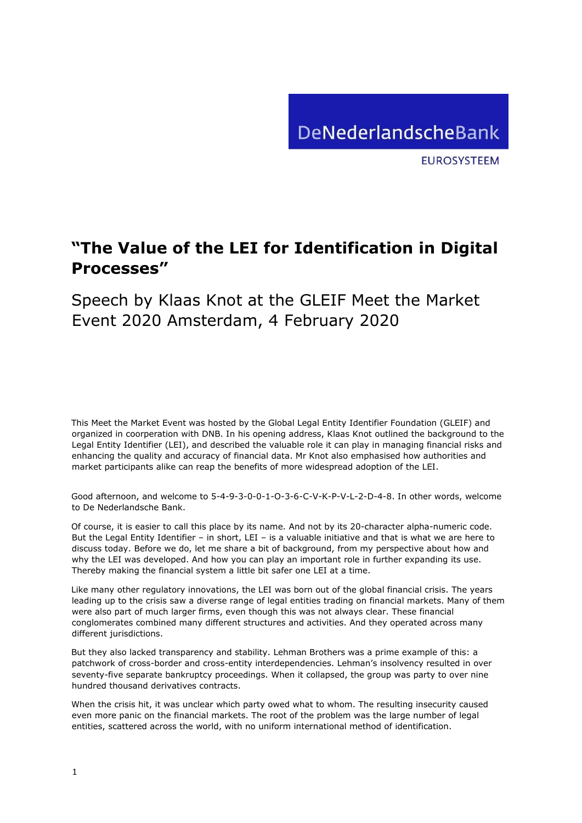

**EUROSYSTEEM** 

## **"The Value of the LEI for Identification in Digital Processes"**

Speech by Klaas Knot at the GLEIF Meet the Market Event 2020 Amsterdam, 4 February 2020

This Meet the Market Event was hosted by the Global Legal Entity Identifier Foundation (GLEIF) and organized in coorperation with DNB. In his opening address, Klaas Knot outlined the background to the Legal Entity Identifier (LEI), and described the valuable role it can play in managing financial risks and enhancing the quality and accuracy of financial data. Mr Knot also emphasised how authorities and market participants alike can reap the benefits of more widespread adoption of the LEI.

Good afternoon, and welcome to 5-4-9-3-0-0-1-O-3-6-C-V-K-P-V-L-2-D-4-8. In other words, welcome to De Nederlandsche Bank.

Of course, it is easier to call this place by its name. And not by its 20-character alpha-numeric code. But the Legal Entity Identifier – in short, LEI – is a valuable initiative and that is what we are here to discuss today. Before we do, let me share a bit of background, from my perspective about how and why the LEI was developed. And how you can play an important role in further expanding its use. Thereby making the financial system a little bit safer one LEI at a time.

Like many other regulatory innovations, the LEI was born out of the global financial crisis. The years leading up to the crisis saw a diverse range of legal entities trading on financial markets. Many of them were also part of much larger firms, even though this was not always clear. These financial conglomerates combined many different structures and activities. And they operated across many different jurisdictions.

But they also lacked transparency and stability. Lehman Brothers was a prime example of this: a patchwork of cross-border and cross-entity interdependencies. Lehman's insolvency resulted in over seventy-five separate bankruptcy proceedings. When it collapsed, the group was party to over nine hundred thousand derivatives contracts.

When the crisis hit, it was unclear which party owed what to whom. The resulting insecurity caused even more panic on the financial markets. The root of the problem was the large number of legal entities, scattered across the world, with no uniform international method of identification.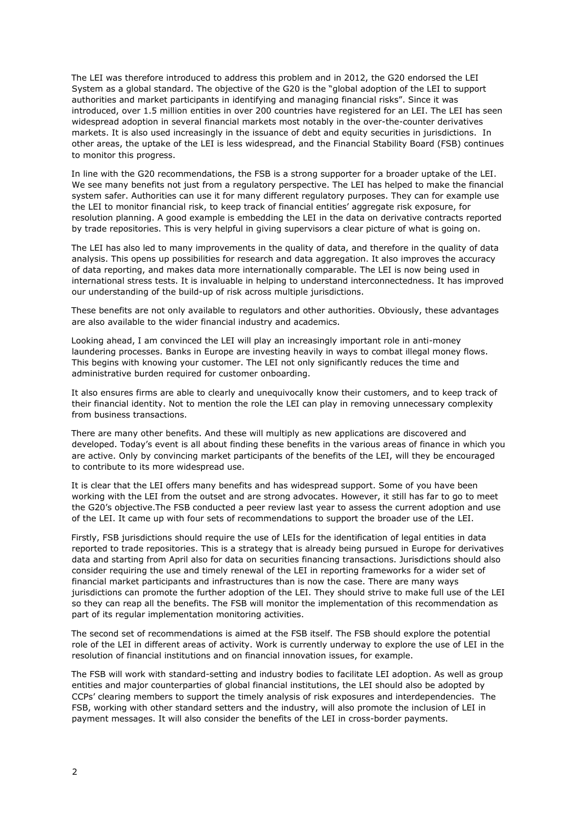The LEI was therefore introduced to address this problem and in 2012, the G20 endorsed the LEI System as a global standard. The objective of the G20 is the "global adoption of the LEI to support authorities and market participants in identifying and managing financial risks". Since it was introduced, over 1.5 million entities in over 200 countries have registered for an LEI. The LEI has seen widespread adoption in several financial markets most notably in the over-the-counter derivatives markets. It is also used increasingly in the issuance of debt and equity securities in jurisdictions. In other areas, the uptake of the LEI is less widespread, and the Financial Stability Board (FSB) continues to monitor this progress.

In line with the G20 recommendations, the FSB is a strong supporter for a broader uptake of the LEI. We see many benefits not just from a regulatory perspective. The LEI has helped to make the financial system safer. Authorities can use it for many different regulatory purposes. They can for example use the LEI to monitor financial risk, to keep track of financial entities' aggregate risk exposure, for resolution planning. A good example is embedding the LEI in the data on derivative contracts reported by trade repositories. This is very helpful in giving supervisors a clear picture of what is going on.

The LEI has also led to many improvements in the quality of data, and therefore in the quality of data analysis. This opens up possibilities for research and data aggregation. It also improves the accuracy of data reporting, and makes data more internationally comparable. The LEI is now being used in international stress tests. It is invaluable in helping to understand interconnectedness. It has improved our understanding of the build-up of risk across multiple jurisdictions.

These benefits are not only available to regulators and other authorities. Obviously, these advantages are also available to the wider financial industry and academics.

Looking ahead, I am convinced the LEI will play an increasingly important role in anti-money laundering processes. Banks in Europe are investing heavily in ways to combat illegal money flows. This begins with knowing your customer. The LEI not only significantly reduces the time and administrative burden required for customer onboarding.

It also ensures firms are able to clearly and unequivocally know their customers, and to keep track of their financial identity. Not to mention the role the LEI can play in removing unnecessary complexity from business transactions.

There are many other benefits. And these will multiply as new applications are discovered and developed. Today's event is all about finding these benefits in the various areas of finance in which you are active. Only by convincing market participants of the benefits of the LEI, will they be encouraged to contribute to its more widespread use.

It is clear that the LEI offers many benefits and has widespread support. Some of you have been working with the LEI from the outset and are strong advocates. However, it still has far to go to meet the G20's objective.[The FSB conducted a peer review last year to assess the current adoption and use](https://www.fsb.org/2019/05/fsb-publishes-peer-review-of-implementation-of-the-legal-entity-identifier/)  [of the LEI.](https://www.fsb.org/2019/05/fsb-publishes-peer-review-of-implementation-of-the-legal-entity-identifier/) It came up with four sets of recommendations to support the broader use of the LEI.

Firstly, FSB jurisdictions should require the use of LEIs for the identification of legal entities in data reported to trade repositories. This is a strategy that is already being pursued in Europe for derivatives data and starting from April also for data on securities financing transactions. Jurisdictions should also consider requiring the use and timely renewal of the LEI in reporting frameworks for a wider set of financial market participants and infrastructures than is now the case. There are many ways jurisdictions can promote the further adoption of the LEI. They should strive to make full use of the LEI so they can reap all the benefits. The FSB will monitor the implementation of this recommendation as part of its regular implementation monitoring activities.

The second set of recommendations is aimed at the FSB itself. The FSB should explore the potential role of the LEI in different areas of activity. Work is currently underway to explore the use of LEI in the resolution of financial institutions and on financial innovation issues, for example.

The FSB will work with standard-setting and industry bodies to facilitate LEI adoption. As well as group entities and major counterparties of global financial institutions, the LEI should also be adopted by CCPs' clearing members to support the timely analysis of risk exposures and interdependencies. The FSB, working with other standard setters and the industry, will also promote the inclusion of LEI in payment messages. It will also consider the benefits of the LEI in cross-border payments.